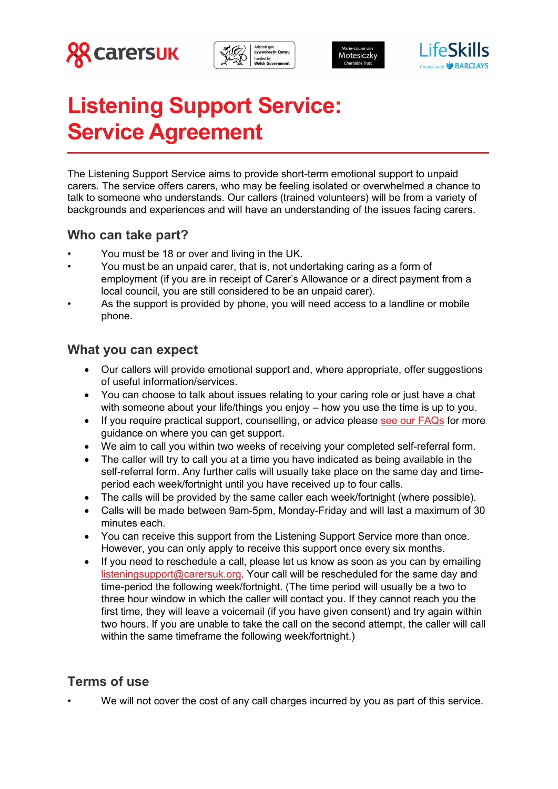







# **Listening Support Service: Service Agreement**

The Listening Support Service aims to provide short-term emotional support to unpaid carers. The service offers carers, who may be feeling isolated or overwhelmed a chance to talk to someone who understands. Our callers (trained volunteers) will be from a variety of backgrounds and experiences and will have an understanding of the issues facing carers.

#### **Who can take part?**

- You must be 18 or over and living in the UK.
- You must be an unpaid carer, that is, not undertaking caring as a form of employment (if you are in receipt of Carer's Allowance or a direct payment from a local council, you are still considered to be an unpaid carer).
- As the support is provided by phone, you will need access to a landline or mobile phone.

#### **What you can expect**

- Our callers will provide emotional support and, where appropriate, offer suggestions of useful information/services.
- You can choose to talk about issues relating to your caring role or just have a chat with someone about your life/things you enjoy – how you use the time is up to you.
- If you require practical support, counselling, or advice please [see our FAQs](https://www.carersuk.org/listening-support-service-frequently-asked-questions) for more guidance on where you can get support.
- We aim to call you within two weeks of receiving your completed self-referral form.
- The caller will try to call you at a time you have indicated as being available in the self-referral form. Any further calls will usually take place on the same day and timeperiod each week/fortnight until you have received up to four calls.
- The calls will be provided by the same caller each week/fortnight (where possible).
- Calls will be made between 9am-5pm, Monday-Friday and will last a maximum of 30 minutes each.
- You can receive this support from the Listening Support Service more than once. However, you can only apply to receive this support once every six months.
- If you need to reschedule a call, please let us know as soon as you can by emailing [listeningsupport@carersuk.org.](mailto:listeningsupport@carersuk.org) Your call will be rescheduled for the same day and time-period the following week/fortnight. (The time period will usually be a two to three hour window in which the caller will contact you. If they cannot reach you the first time, they will leave a voicemail (if you have given consent) and try again within two hours. If you are unable to take the call on the second attempt, the caller will call within the same timeframe the following week/fortnight.)

#### **Terms of use**

• We will not cover the cost of any call charges incurred by you as part of this service.